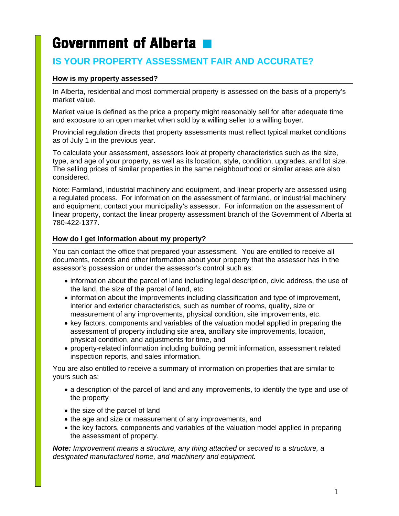# **Government of Alberta**

# **IS YOUR PROPERTY ASSESSMENT FAIR AND ACCURATE?**

# **How is my property assessed?**

In Alberta, residential and most commercial property is assessed on the basis of a property's market value.

Market value is defined as the price a property might reasonably sell for after adequate time and exposure to an open market when sold by a willing seller to a willing buyer.

Provincial regulation directs that property assessments must reflect typical market conditions as of July 1 in the previous year.

To calculate your assessment, assessors look at property characteristics such as the size, type, and age of your property, as well as its location, style, condition, upgrades, and lot size. The selling prices of similar properties in the same neighbourhood or similar areas are also considered.

Note: Farmland, industrial machinery and equipment, and linear property are assessed using a regulated process. For information on the assessment of farmland, or industrial machinery and equipment, contact your municipality's assessor. For information on the assessment of linear property, contact the linear property assessment branch of the Government of Alberta at 780-422-1377.

# **How do I get information about my property?**

You can contact the office that prepared your assessment. You are entitled to receive all documents, records and other information about your property that the assessor has in the assessor's possession or under the assessor's control such as:

- information about the parcel of land including legal description, civic address, the use of the land, the size of the parcel of land, etc.
- information about the improvements including classification and type of improvement, interior and exterior characteristics, such as number of rooms, quality, size or measurement of any improvements, physical condition, site improvements, etc.
- key factors, components and variables of the valuation model applied in preparing the assessment of property including site area, ancillary site improvements, location, physical condition, and adjustments for time, and
- property-related information including building permit information, assessment related inspection reports, and sales information.

You are also entitled to receive a summary of information on properties that are similar to yours such as:

- a description of the parcel of land and any improvements, to identify the type and use of the property
- the size of the parcel of land
- the age and size or measurement of any improvements, and
- the key factors, components and variables of the valuation model applied in preparing the assessment of property.

*Note: Improvement means a structure, any thing attached or secured to a structure, a designated manufactured home, and machinery and equipment.*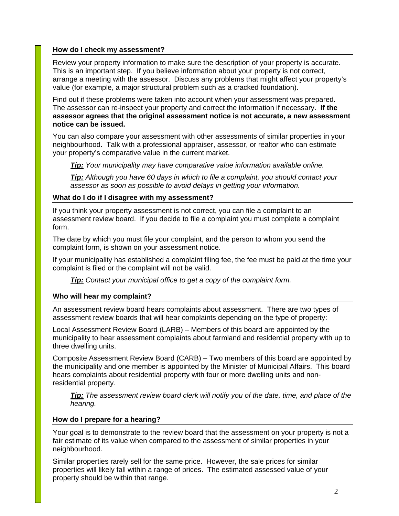#### **How do I check my assessment?**

Review your property information to make sure the description of your property is accurate. This is an important step. If you believe information about your property is not correct, arrange a meeting with the assessor. Discuss any problems that might affect your property's value (for example, a major structural problem such as a cracked foundation).

Find out if these problems were taken into account when your assessment was prepared. The assessor can re-inspect your property and correct the information if necessary. **If the assessor agrees that the original assessment notice is not accurate, a new assessment notice can be issued.**

You can also compare your assessment with other assessments of similar properties in your neighbourhood. Talk with a professional appraiser, assessor, or realtor who can estimate your property's comparative value in the current market.

*Tip: Your municipality may have comparative value information available online.* 

*Tip: Although you have 60 days in which to file a complaint, you should contact your assessor as soon as possible to avoid delays in getting your information.*

#### **What do I do if I disagree with my assessment?**

If you think your property assessment is not correct, you can file a complaint to an assessment review board. If you decide to file a complaint you must complete a complaint form.

The date by which you must file your complaint, and the person to whom you send the complaint form, is shown on your assessment notice.

If your municipality has established a complaint filing fee, the fee must be paid at the time your complaint is filed or the complaint will not be valid.

*Tip: Contact your municipal office to get a copy of the complaint form.*

#### **Who will hear my complaint?**

An assessment review board hears complaints about assessment. There are two types of assessment review boards that will hear complaints depending on the type of property:

Local Assessment Review Board (LARB) – Members of this board are appointed by the municipality to hear assessment complaints about farmland and residential property with up to three dwelling units.

Composite Assessment Review Board (CARB) – Two members of this board are appointed by the municipality and one member is appointed by the Minister of Municipal Affairs. This board hears complaints about residential property with four or more dwelling units and nonresidential property.

*Tip: The assessment review board clerk will notify you of the date, time, and place of the hearing.* 

#### **How do I prepare for a hearing?**

Your goal is to demonstrate to the review board that the assessment on your property is not a fair estimate of its value when compared to the assessment of similar properties in your neighbourhood.

Similar properties rarely sell for the same price. However, the sale prices for similar properties will likely fall within a range of prices. The estimated assessed value of your property should be within that range.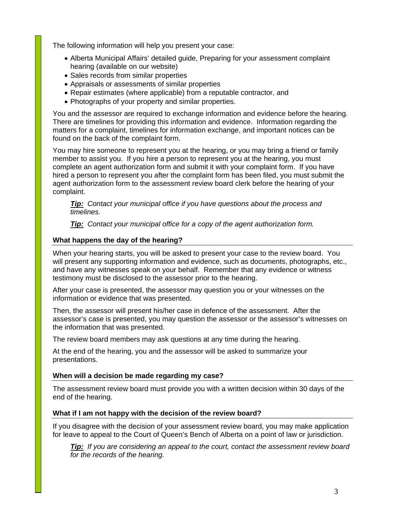The following information will help you present your case:

- Alberta Municipal Affairs' detailed guide, Preparing for your assessment complaint hearing (available on our website)
- Sales records from similar properties
- Appraisals or assessments of similar properties
- Repair estimates (where applicable) from a reputable contractor, and
- Photographs of your property and similar properties.

You and the assessor are required to exchange information and evidence before the hearing. There are timelines for providing this information and evidence. Information regarding the matters for a complaint, timelines for information exchange, and important notices can be found on the back of the complaint form.

You may hire someone to represent you at the hearing, or you may bring a friend or family member to assist you. If you hire a person to represent you at the hearing, you must complete an agent authorization form and submit it with your complaint form. If you have hired a person to represent you after the complaint form has been filed, you must submit the agent authorization form to the assessment review board clerk before the hearing of your complaint.

*Tip: Contact your municipal office if you have questions about the process and timelines.* 

*Tip: Contact your municipal office for a copy of the agent authorization form.* 

#### **What happens the day of the hearing?**

When your hearing starts, you will be asked to present your case to the review board. You will present any supporting information and evidence, such as documents, photographs, etc., and have any witnesses speak on your behalf. Remember that any evidence or witness testimony must be disclosed to the assessor prior to the hearing.

After your case is presented, the assessor may question you or your witnesses on the information or evidence that was presented.

Then, the assessor will present his/her case in defence of the assessment. After the assessor's case is presented, you may question the assessor or the assessor's witnesses on the information that was presented.

The review board members may ask questions at any time during the hearing.

At the end of the hearing, you and the assessor will be asked to summarize your presentations.

#### **When will a decision be made regarding my case?**

The assessment review board must provide you with a written decision within 30 days of the end of the hearing.

#### **What if I am not happy with the decision of the review board?**

If you disagree with the decision of your assessment review board, you may make application for leave to appeal to the Court of Queen's Bench of Alberta on a point of law or jurisdiction.

*Tip: If you are considering an appeal to the court, contact the assessment review board for the records of the hearing.*